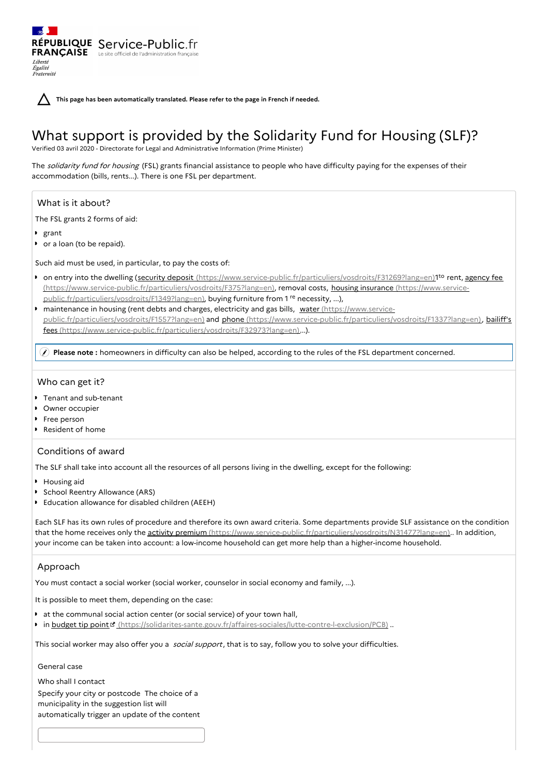**This page has been automatically translated. Please refer to the page in French if needed.**

# What support is provided by the Solidarity Fund for Housing (SLF)?

Verified 03 avril 2020 - Directorate for Legal and Administrative Information (Prime Minister)

The solidarity fund for housing (FSL) grants financial assistance to people who have difficulty paying for the expenses of their accommodation (bills, rents...). There is one FSL per department.

## What is it about?

The FSL grants 2 forms of aid:

grant

Liberté Égalité<br>Fraternité

or a loan (to be repaid).

Such aid must be used, in particular, to pay the costs of:

RÉPUBLIQUE Service-Public.fr **FRANÇAISE** Le site officiel de l'administration fran

- on entry into the dwelling (security deposit [\(https://www.service-public.fr/particuliers/vosdroits/F31269?lang=en](https://www.service-public.fr/particuliers/vosdroits/F31269?lang=en)[\)1](https://www.service-public.fr/particuliers/vosdroits/F375?lang=en)<sup>to</sup> rent, agency fee [\(https://www.service-public.fr/particuliers/vosdroits/F375?lang=en\),](https://www.service-public.fr/particuliers/vosdroits/F1349?lang=en) removal costs, housing insurance (https://www.servicepublic.fr/particuliers/vosdroits/F1349?lang=en), buying furniture from 1<sup>re</sup> necessity, ...),
- maintenance in housing (rent debts and charges, electricity and gas bills, water (https://www.service[public.fr/particuliers/vosdroits/F1557?lang=en\)](https://www.service-public.fr/particuliers/vosdroits/F1557?lang=en) and phone [\(https://www.service-public.fr/particuliers/vosdroits/F1337?lang=en\)](https://www.service-public.fr/particuliers/vosdroits/F1337?lang=en), bailiff's fees [\(https://www.service-public.fr/particuliers/vosdroits/F32973?lang=en\)...\).](https://www.service-public.fr/particuliers/vosdroits/F32973?lang=en)

**Please note :** homeowners in difficulty can also be helped, according to the rules of the FSL department concerned.

## Who can get it?

- Tenant and sub-tenant
- Owner occupier
- Free person
- Resident of home

## Conditions of award

The SLF shall take into account all the resources of all persons living in the dwelling, except for the following:

- **Housing aid**
- School Reentry Allowance (ARS)
- Education allowance for disabled children (AEEH)

Each SLF has its own rules of procedure and therefore its own award criteria. Some departments provide SLF assistance on the condition that the home receives only the activity premium [\(https://www.service-public.fr/particuliers/vosdroits/N31477?lang=en\)](https://www.service-public.fr/particuliers/vosdroits/N31477?lang=en).. In addition, your income can be taken into account: a low-income household can get more help than a higher-income household.

## Approach

You must contact a social worker (social worker, counselor in social economy and family, ...).

It is possible to meet them, depending on the case:

- at the communal social action center (or social service) of your town hall,
- In budget tip point " [\(https://solidarites-sante.gouv.fr/affaires-sociales/lutte-contre-l-exclusion/PCB\)](https://solidarites-sante.gouv.fr/affaires-sociales/lutte-contre-l-exclusion/PCB) ..

This social worker may also offer you a *social support*, that is to say, follow you to solve your difficulties.

General case

Who shall I contact Specify your city or postcode The choice of a municipality in the suggestion list will automatically trigger an update of the content